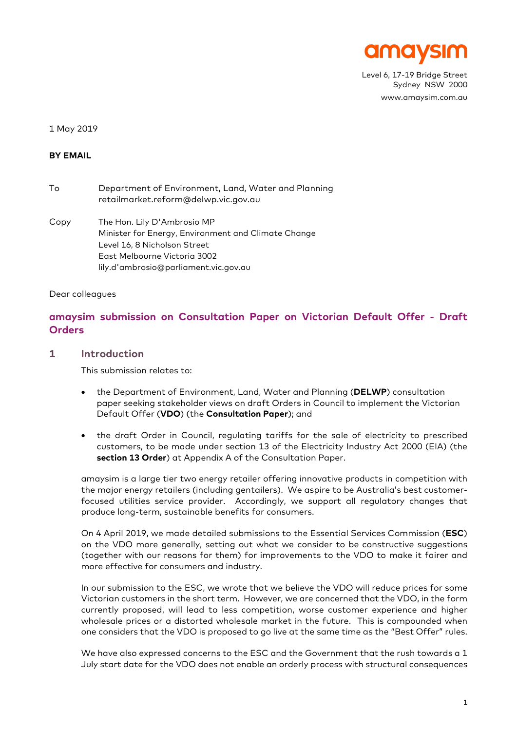

Level 6, 17-19 Bridge Street Sydney NSW 2000 www.amaysim.com.au

#### 1 May 2019

## **BY EMAIL**

| To | Department of Environment, Land, Water and Planning |
|----|-----------------------------------------------------|
|    | retailmarket.reform@delwp.vic.gov.au                |

Copy The Hon. Lily D'Ambrosio MP Minister for Energy, Environment and Climate Change Level 16, 8 Nicholson Street East Melbourne Victoria 3002 lily.d'ambrosio@parliament.vic.gov.au

Dear colleagues

# **amaysim submission on Consultation Paper on Victorian Default Offer - Draft Orders**

#### **1 Introduction**

This submission relates to:

- the Department of Environment, Land, Water and Planning (**DELWP**) consultation paper seeking stakeholder views on draft Orders in Council to implement the Victorian Default Offer (**VDO**) (the **Consultation Paper**); and
- the draft Order in Council, regulating tariffs for the sale of electricity to prescribed customers, to be made under section 13 of the Electricity Industry Act 2000 (EIA) (the **section 13 Order**) at Appendix A of the Consultation Paper.

amaysim is a large tier two energy retailer offering innovative products in competition with the major energy retailers (including gentailers). We aspire to be Australia's best customerfocused utilities service provider. Accordingly, we support all regulatory changes that produce long-term, sustainable benefits for consumers.

On 4 April 2019, we made detailed submissions to the Essential Services Commission (**ESC**) on the VDO more generally, setting out what we consider to be constructive suggestions (together with our reasons for them) for improvements to the VDO to make it fairer and more effective for consumers and industry.

In our submission to the ESC, we wrote that we believe the VDO will reduce prices for some Victorian customers in the short term. However, we are concerned that the VDO, in the form currently proposed, will lead to less competition, worse customer experience and higher wholesale prices or a distorted wholesale market in the future. This is compounded when one considers that the VDO is proposed to go live at the same time as the "Best Offer" rules.

We have also expressed concerns to the ESC and the Government that the rush towards a 1 July start date for the VDO does not enable an orderly process with structural consequences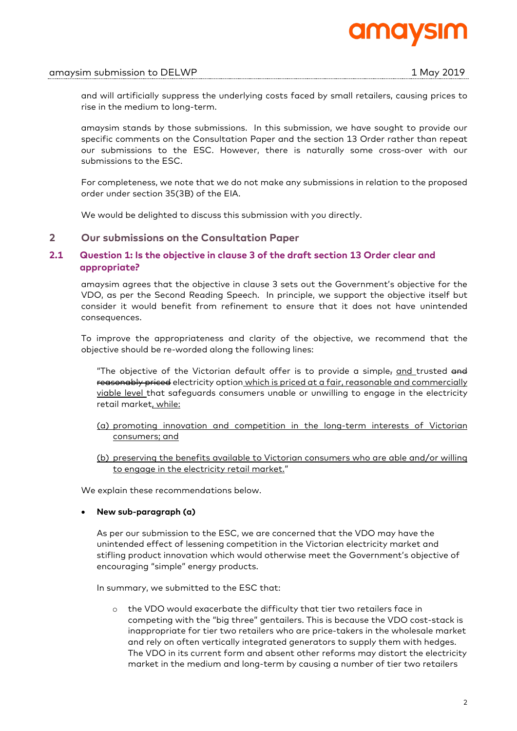

and will artificially suppress the underlying costs faced by small retailers, causing prices to rise in the medium to long-term.

amaysim stands by those submissions. In this submission, we have sought to provide our specific comments on the Consultation Paper and the section 13 Order rather than repeat our submissions to the ESC. However, there is naturally some cross-over with our submissions to the ESC.

For completeness, we note that we do not make any submissions in relation to the proposed order under section 35(3B) of the EIA.

We would be delighted to discuss this submission with you directly.

## **2 Our submissions on the Consultation Paper**

## **2.1 Question 1: Is the objective in clause 3 of the draft section 13 Order clear and appropriate?**

amaysim agrees that the objective in clause 3 sets out the Government's objective for the VDO, as per the Second Reading Speech. In principle, we support the objective itself but consider it would benefit from refinement to ensure that it does not have unintended consequences.

To improve the appropriateness and clarity of the objective, we recommend that the objective should be re-worded along the following lines:

"The objective of the Victorian default offer is to provide a simple<sub>r</sub> and trusted and reasonably priced electricity option which is priced at a fair, reasonable and commercially viable level that safeguards consumers unable or unwilling to engage in the electricity retail market, while:

- (a) promoting innovation and competition in the long-term interests of Victorian consumers; and
- (b) preserving the benefits available to Victorian consumers who are able and/or willing to engage in the electricity retail market."

We explain these recommendations below.

## • **New sub-paragraph (a)**

As per our submission to the ESC, we are concerned that the VDO may have the unintended effect of lessening competition in the Victorian electricity market and stifling product innovation which would otherwise meet the Government's objective of encouraging "simple" energy products.

In summary, we submitted to the ESC that:

o the VDO would exacerbate the difficulty that tier two retailers face in competing with the "big three" gentailers. This is because the VDO cost-stack is inappropriate for tier two retailers who are price-takers in the wholesale market and rely on often vertically integrated generators to supply them with hedges. The VDO in its current form and absent other reforms may distort the electricity market in the medium and long-term by causing a number of tier two retailers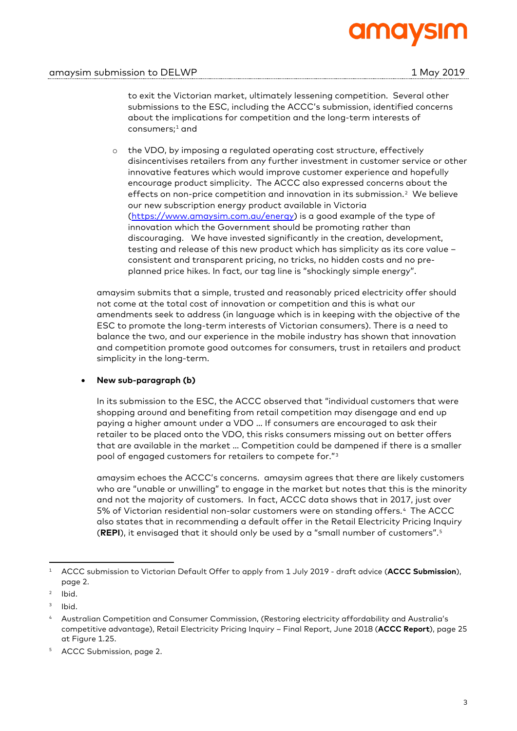# mol

to exit the Victorian market, ultimately lessening competition. Several other submissions to the ESC, including the ACCC's submission, identified concerns about the implications for competition and the long-term interests of consumers; <sup>1</sup> and

o the VDO, by imposing a regulated operating cost structure, effectively disincentivises retailers from any further investment in customer service or other innovative features which would improve customer experience and hopefully encourage product simplicity. The ACCC also expressed concerns about the effects on non-price competition and innovation in its submission.2 We believe our new subscription energy product available in Victoria (https://www.amaysim.com.au/energy) is a good example of the type of innovation which the Government should be promoting rather than discouraging. We have invested significantly in the creation, development, testing and release of this new product which has simplicity as its core value – consistent and transparent pricing, no tricks, no hidden costs and no preplanned price hikes. In fact, our tag line is "shockingly simple energy".

amaysim submits that a simple, trusted and reasonably priced electricity offer should not come at the total cost of innovation or competition and this is what our amendments seek to address (in language which is in keeping with the objective of the ESC to promote the long-term interests of Victorian consumers). There is a need to balance the two, and our experience in the mobile industry has shown that innovation and competition promote good outcomes for consumers, trust in retailers and product simplicity in the long-term.

# • **New sub-paragraph (b)**

In its submission to the ESC, the ACCC observed that "individual customers that were shopping around and benefiting from retail competition may disengage and end up paying a higher amount under a VDO … If consumers are encouraged to ask their retailer to be placed onto the VDO, this risks consumers missing out on better offers that are available in the market … Competition could be dampened if there is a smaller pool of engaged customers for retailers to compete for."3

amaysim echoes the ACCC's concerns. amaysim agrees that there are likely customers who are "unable or unwilling" to engage in the market but notes that this is the minority and not the majority of customers. In fact, ACCC data shows that in 2017, just over 5% of Victorian residential non-solar customers were on standing offers.4 The ACCC also states that in recommending a default offer in the Retail Electricity Pricing Inquiry (**REPI**), it envisaged that it should only be used by a "small number of customers".5

<sup>1</sup> ACCC submission to Victorian Default Offer to apply from 1 July 2019 - draft advice (**ACCC Submission**), page 2.

<sup>2</sup> Ibid.

<sup>&</sup>lt;sup>3</sup> Ibid.

<sup>4</sup> Australian Competition and Consumer Commission, (Restoring electricity affordability and Australia's competitive advantage), Retail Electricity Pricing Inquiry – Final Report, June 2018 (**ACCC Report**), page 25 at Figure 1.25.

<sup>5</sup> ACCC Submission, page 2.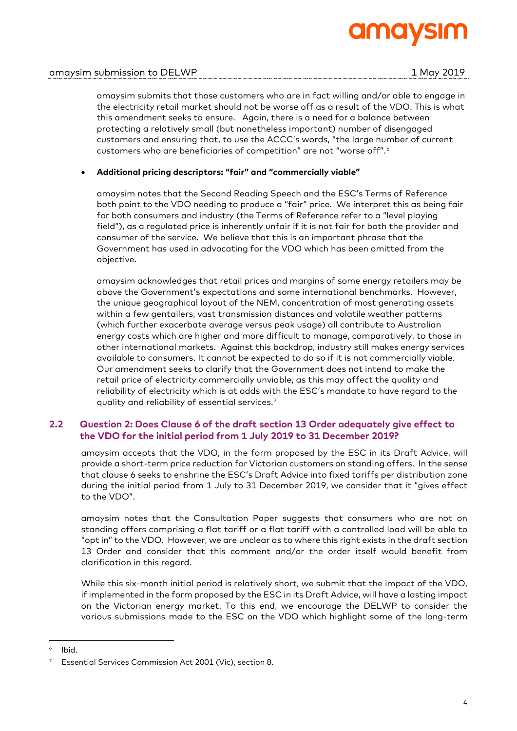

amaysim submits that those customers who are in fact willing and/or able to engage in the electricity retail market should not be worse off as a result of the VDO. This is what this amendment seeks to ensure. Again, there is a need for a balance between protecting a relatively small (but nonetheless important) number of disengaged customers and ensuring that, to use the ACCC's words, "the large number of current customers who are beneficiaries of competition" are not "worse off".6

## • **Additional pricing descriptors: "fair" and "commercially viable"**

amaysim notes that the Second Reading Speech and the ESC's Terms of Reference both point to the VDO needing to produce a "fair" price. We interpret this as being fair for both consumers and industry (the Terms of Reference refer to a "level playing field"), as a regulated price is inherently unfair if it is not fair for both the provider and consumer of the service. We believe that this is an important phrase that the Government has used in advocating for the VDO which has been omitted from the objective.

amaysim acknowledges that retail prices and margins of some energy retailers may be above the Government's expectations and some international benchmarks. However, the unique geographical layout of the NEM, concentration of most generating assets within a few gentailers, vast transmission distances and volatile weather patterns (which further exacerbate average versus peak usage) all contribute to Australian energy costs which are higher and more difficult to manage, comparatively, to those in other international markets. Against this backdrop, industry still makes energy services available to consumers. It cannot be expected to do so if it is not commercially viable. Our amendment seeks to clarify that the Government does not intend to make the retail price of electricity commercially unviable, as this may affect the quality and reliability of electricity which is at odds with the ESC's mandate to have regard to the quality and reliability of essential services.7

# **2.2 Question 2: Does Clause 6 of the draft section 13 Order adequately give effect to the VDO for the initial period from 1 July 2019 to 31 December 2019?**

amaysim accepts that the VDO, in the form proposed by the ESC in its Draft Advice, will provide a short-term price reduction for Victorian customers on standing offers. In the sense that clause 6 seeks to enshrine the ESC's Draft Advice into fixed tariffs per distribution zone during the initial period from 1 July to 31 December 2019, we consider that it "gives effect to the VDO".

amaysim notes that the Consultation Paper suggests that consumers who are not on standing offers comprising a flat tariff or a flat tariff with a controlled load will be able to "opt in" to the VDO. However, we are unclear as to where this right exists in the draft section 13 Order and consider that this comment and/or the order itself would benefit from clarification in this regard.

While this six-month initial period is relatively short, we submit that the impact of the VDO, if implemented in the form proposed by the ESC in its Draft Advice, will have a lasting impact on the Victorian energy market. To this end, we encourage the DELWP to consider the various submissions made to the ESC on the VDO which highlight some of the long-term

Ibid.

Essential Services Commission Act 2001 (Vic), section 8.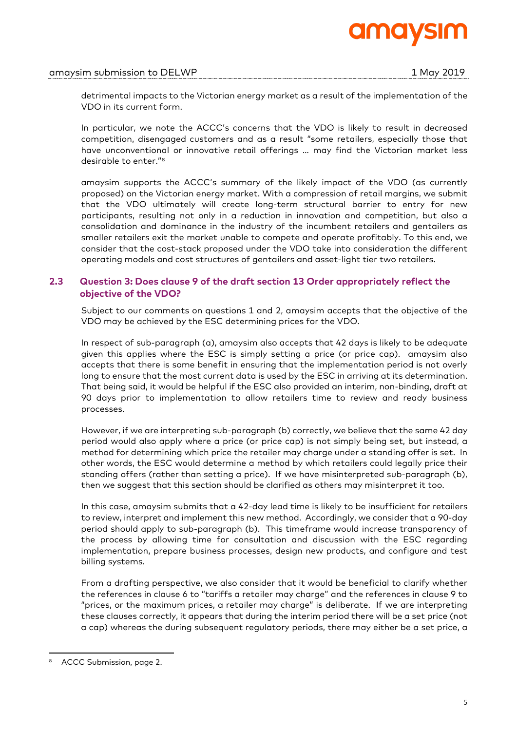

detrimental impacts to the Victorian energy market as a result of the implementation of the VDO in its current form.

In particular, we note the ACCC's concerns that the VDO is likely to result in decreased competition, disengaged customers and as a result "some retailers, especially those that have unconventional or innovative retail offerings … may find the Victorian market less desirable to enter."8

amaysim supports the ACCC's summary of the likely impact of the VDO (as currently proposed) on the Victorian energy market. With a compression of retail margins, we submit that the VDO ultimately will create long-term structural barrier to entry for new participants, resulting not only in a reduction in innovation and competition, but also a consolidation and dominance in the industry of the incumbent retailers and gentailers as smaller retailers exit the market unable to compete and operate profitably. To this end, we consider that the cost-stack proposed under the VDO take into consideration the different operating models and cost structures of gentailers and asset-light tier two retailers.

# **2.3 Question 3: Does clause 9 of the draft section 13 Order appropriately reflect the objective of the VDO?**

Subject to our comments on questions 1 and 2, amaysim accepts that the objective of the VDO may be achieved by the ESC determining prices for the VDO.

In respect of sub-paragraph (a), amaysim also accepts that 42 days is likely to be adequate given this applies where the ESC is simply setting a price (or price cap). amaysim also accepts that there is some benefit in ensuring that the implementation period is not overly long to ensure that the most current data is used by the ESC in arriving at its determination. That being said, it would be helpful if the ESC also provided an interim, non-binding, draft at 90 days prior to implementation to allow retailers time to review and ready business processes.

However, if we are interpreting sub-paragraph (b) correctly, we believe that the same 42 day period would also apply where a price (or price cap) is not simply being set, but instead, a method for determining which price the retailer may charge under a standing offer is set. In other words, the ESC would determine a method by which retailers could legally price their standing offers (rather than setting a price). If we have misinterpreted sub-paragraph (b), then we suggest that this section should be clarified as others may misinterpret it too.

In this case, amaysim submits that a 42-day lead time is likely to be insufficient for retailers to review, interpret and implement this new method. Accordingly, we consider that a 90-day period should apply to sub-paragraph (b). This timeframe would increase transparency of the process by allowing time for consultation and discussion with the ESC regarding implementation, prepare business processes, design new products, and configure and test billing systems.

From a drafting perspective, we also consider that it would be beneficial to clarify whether the references in clause 6 to "tariffs a retailer may charge" and the references in clause 9 to "prices, or the maximum prices, a retailer may charge" is deliberate. If we are interpreting these clauses correctly, it appears that during the interim period there will be a set price (not a cap) whereas the during subsequent regulatory periods, there may either be a set price, a

ACCC Submission, page 2.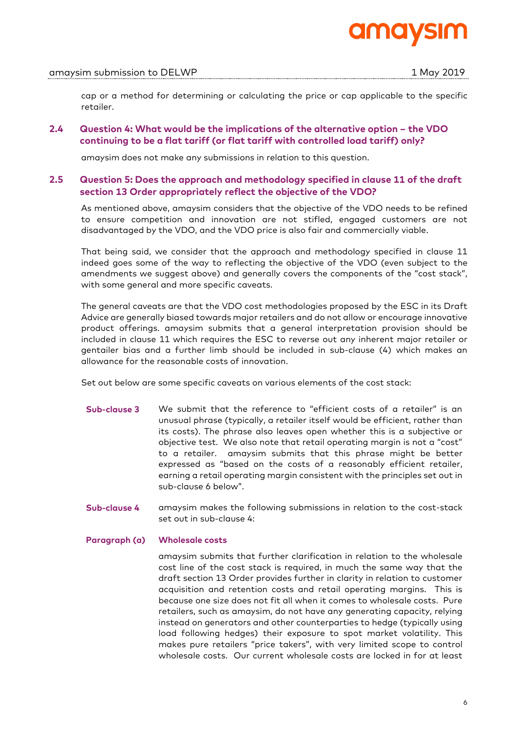

## amaysim submission to DELWP 1 May 2019

cap or a method for determining or calculating the price or cap applicable to the specific retailer.

## **2.4 Question 4: What would be the implications of the alternative option – the VDO continuing to be a flat tariff (or flat tariff with controlled load tariff) only?**

amaysim does not make any submissions in relation to this question.

## **2.5 Question 5: Does the approach and methodology specified in clause 11 of the draft section 13 Order appropriately reflect the objective of the VDO?**

As mentioned above, amaysim considers that the objective of the VDO needs to be refined to ensure competition and innovation are not stifled, engaged customers are not disadvantaged by the VDO, and the VDO price is also fair and commercially viable.

That being said, we consider that the approach and methodology specified in clause 11 indeed goes some of the way to reflecting the objective of the VDO (even subject to the amendments we suggest above) and generally covers the components of the "cost stack", with some general and more specific caveats.

The general caveats are that the VDO cost methodologies proposed by the ESC in its Draft Advice are generally biased towards major retailers and do not allow or encourage innovative product offerings. amaysim submits that a general interpretation provision should be included in clause 11 which requires the ESC to reverse out any inherent major retailer or gentailer bias and a further limb should be included in sub-clause (4) which makes an allowance for the reasonable costs of innovation.

Set out below are some specific caveats on various elements of the cost stack:

- **Sub-clause 3** We submit that the reference to "efficient costs of a retailer" is an unusual phrase (typically, a retailer itself would be efficient, rather than its costs). The phrase also leaves open whether this is a subjective or objective test. We also note that retail operating margin is not a "cost" to a retailer. amaysim submits that this phrase might be better expressed as "based on the costs of a reasonably efficient retailer, earning a retail operating margin consistent with the principles set out in sub-clause 6 below".
- **Sub-clause 4** amaysim makes the following submissions in relation to the cost-stack set out in sub-clause 4:

## **Paragraph (a) Wholesale costs**

amaysim submits that further clarification in relation to the wholesale cost line of the cost stack is required, in much the same way that the draft section 13 Order provides further in clarity in relation to customer acquisition and retention costs and retail operating margins. This is because one size does not fit all when it comes to wholesale costs. Pure retailers, such as amaysim, do not have any generating capacity, relying instead on generators and other counterparties to hedge (typically using load following hedges) their exposure to spot market volatility. This makes pure retailers "price takers", with very limited scope to control wholesale costs. Our current wholesale costs are locked in for at least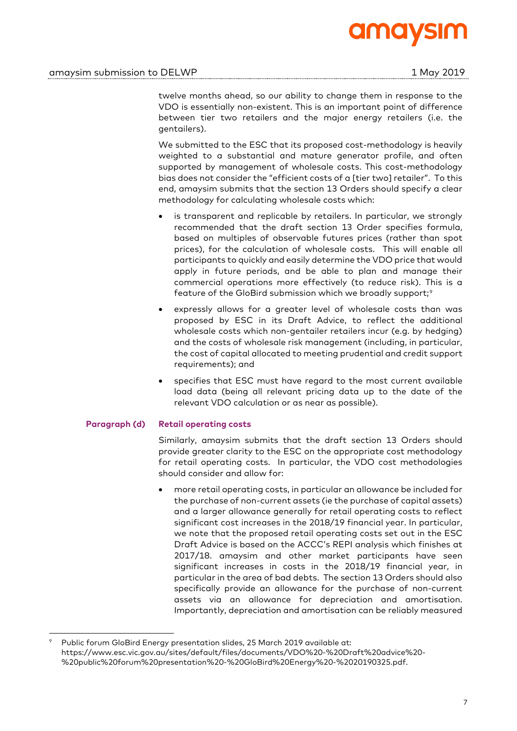

twelve months ahead, so our ability to change them in response to the VDO is essentially non-existent. This is an important point of difference between tier two retailers and the major energy retailers (i.e. the gentailers).

We submitted to the ESC that its proposed cost-methodology is heavily weighted to a substantial and mature generator profile, and often supported by management of wholesale costs. This cost-methodology bias does not consider the "efficient costs of a [tier two] retailer". To this end, amaysim submits that the section 13 Orders should specify a clear methodology for calculating wholesale costs which:

- is transparent and replicable by retailers. In particular, we strongly recommended that the draft section 13 Order specifies formula, based on multiples of observable futures prices (rather than spot prices), for the calculation of wholesale costs. This will enable all participants to quickly and easily determine the VDO price that would apply in future periods, and be able to plan and manage their commercial operations more effectively (to reduce risk). This is a feature of the GloBird submission which we broadly support;<sup>9</sup>
- expressly allows for a greater level of wholesale costs than was proposed by ESC in its Draft Advice, to reflect the additional wholesale costs which non-gentailer retailers incur (e.g. by hedging) and the costs of wholesale risk management (including, in particular, the cost of capital allocated to meeting prudential and credit support requirements); and
- specifies that ESC must have regard to the most current available load data (being all relevant pricing data up to the date of the relevant VDO calculation or as near as possible).

## **Paragraph (d) Retail operating costs**

Similarly, amaysim submits that the draft section 13 Orders should provide greater clarity to the ESC on the appropriate cost methodology for retail operating costs.In particular, the VDO cost methodologies should consider and allow for:

• more retail operating costs, in particular an allowance be included for the purchase of non-current assets (ie the purchase of capital assets) and a larger allowance generally for retail operating costs to reflect significant cost increases in the 2018/19 financial year. In particular, we note that the proposed retail operating costs set out in the ESC Draft Advice is based on the ACCC's REPI analysis which finishes at 2017/18. amaysim and other market participants have seen significant increases in costs in the 2018/19 financial year, in particular in the area of bad debts. The section 13 Orders should also specifically provide an allowance for the purchase of non-current assets via an allowance for depreciation and amortisation. Importantly, depreciation and amortisation can be reliably measured

 <sup>9</sup> Public forum GloBird Energy presentation slides, 25 March 2019 available at: https://www.esc.vic.gov.au/sites/default/files/documents/VDO%20-%20Draft%20advice%20- %20public%20forum%20presentation%20-%20GloBird%20Energy%20-%2020190325.pdf.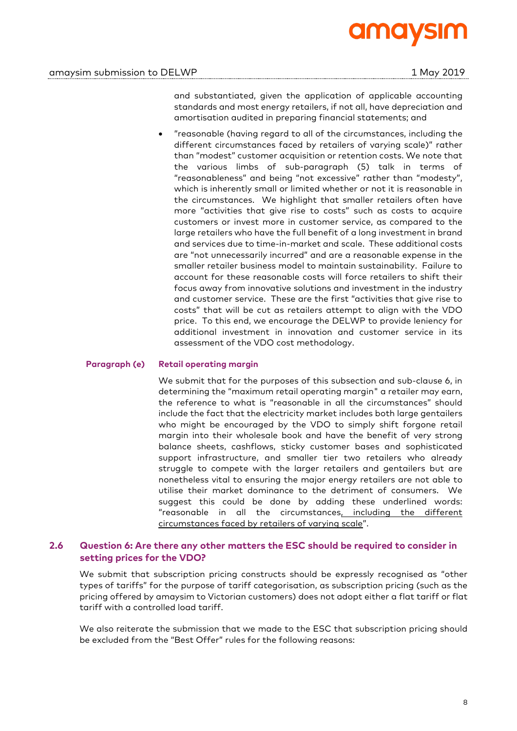

and substantiated, given the application of applicable accounting standards and most energy retailers, if not all, have depreciation and amortisation audited in preparing financial statements; and

• "reasonable (having regard to all of the circumstances, including the different circumstances faced by retailers of varying scale)" rather than "modest" customer acquisition or retention costs. We note that the various limbs of sub-paragraph (5) talk in terms of "reasonableness" and being "not excessive" rather than "modesty", which is inherently small or limited whether or not it is reasonable in the circumstances. We highlight that smaller retailers often have more "activities that give rise to costs" such as costs to acquire customers or invest more in customer service, as compared to the large retailers who have the full benefit of a long investment in brand and services due to time-in-market and scale. These additional costs are "not unnecessarily incurred" and are a reasonable expense in the smaller retailer business model to maintain sustainability. Failure to account for these reasonable costs will force retailers to shift their focus away from innovative solutions and investment in the industry and customer service. These are the first "activities that give rise to costs" that will be cut as retailers attempt to align with the VDO price. To this end, we encourage the DELWP to provide leniency for additional investment in innovation and customer service in its assessment of the VDO cost methodology.

## **Paragraph (e) Retail operating margin**

We submit that for the purposes of this subsection and sub-clause 6, in determining the "maximum retail operating margin" a retailer may earn, the reference to what is "reasonable in all the circumstances" should include the fact that the electricity market includes both large gentailers who might be encouraged by the VDO to simply shift forgone retail margin into their wholesale book and have the benefit of very strong balance sheets, cashflows, sticky customer bases and sophisticated support infrastructure, and smaller tier two retailers who already struggle to compete with the larger retailers and gentailers but are nonetheless vital to ensuring the major energy retailers are not able to utilise their market dominance to the detriment of consumers. We suggest this could be done by adding these underlined words: "reasonable in all the circumstances, including the different circumstances faced by retailers of varying scale".

## **2.6 Question 6: Are there any other matters the ESC should be required to consider in setting prices for the VDO?**

We submit that subscription pricing constructs should be expressly recognised as "other types of tariffs" for the purpose of tariff categorisation, as subscription pricing (such as the pricing offered by amaysim to Victorian customers) does not adopt either a flat tariff or flat tariff with a controlled load tariff.

We also reiterate the submission that we made to the ESC that subscription pricing should be excluded from the "Best Offer" rules for the following reasons: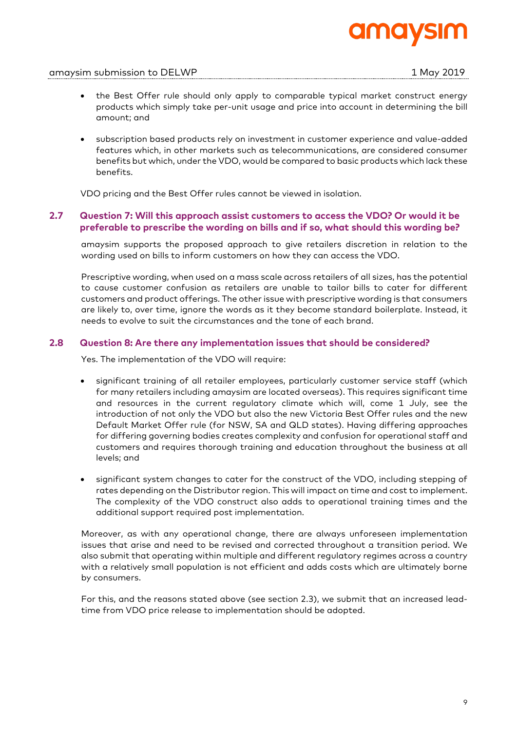

## amaysim submission to DELWP 1 May 2019

- the Best Offer rule should only apply to comparable typical market construct energy products which simply take per-unit usage and price into account in determining the bill amount; and
- subscription based products rely on investment in customer experience and value-added features which, in other markets such as telecommunications, are considered consumer benefits but which, under the VDO, would be compared to basic products which lack these benefits.

VDO pricing and the Best Offer rules cannot be viewed in isolation.

# **2.7 Question 7: Will this approach assist customers to access the VDO? Or would it be preferable to prescribe the wording on bills and if so, what should this wording be?**

amaysim supports the proposed approach to give retailers discretion in relation to the wording used on bills to inform customers on how they can access the VDO.

Prescriptive wording, when used on a mass scale across retailers of all sizes, has the potential to cause customer confusion as retailers are unable to tailor bills to cater for different customers and product offerings. The other issue with prescriptive wording is that consumers are likely to, over time, ignore the words as it they become standard boilerplate. Instead, it needs to evolve to suit the circumstances and the tone of each brand.

## **2.8 Question 8: Are there any implementation issues that should be considered?**

Yes. The implementation of the VDO will require:

- significant training of all retailer employees, particularly customer service staff (which for many retailers including amaysim are located overseas). This requires significant time and resources in the current regulatory climate which will, come 1 July, see the introduction of not only the VDO but also the new Victoria Best Offer rules and the new Default Market Offer rule (for NSW, SA and QLD states). Having differing approaches for differing governing bodies creates complexity and confusion for operational staff and customers and requires thorough training and education throughout the business at all levels; and
- significant system changes to cater for the construct of the VDO, including stepping of rates depending on the Distributor region. This will impact on time and cost to implement. The complexity of the VDO construct also adds to operational training times and the additional support required post implementation.

Moreover, as with any operational change, there are always unforeseen implementation issues that arise and need to be revised and corrected throughout a transition period. We also submit that operating within multiple and different regulatory regimes across a country with a relatively small population is not efficient and adds costs which are ultimately borne by consumers.

For this, and the reasons stated above (see section 2.3), we submit that an increased leadtime from VDO price release to implementation should be adopted.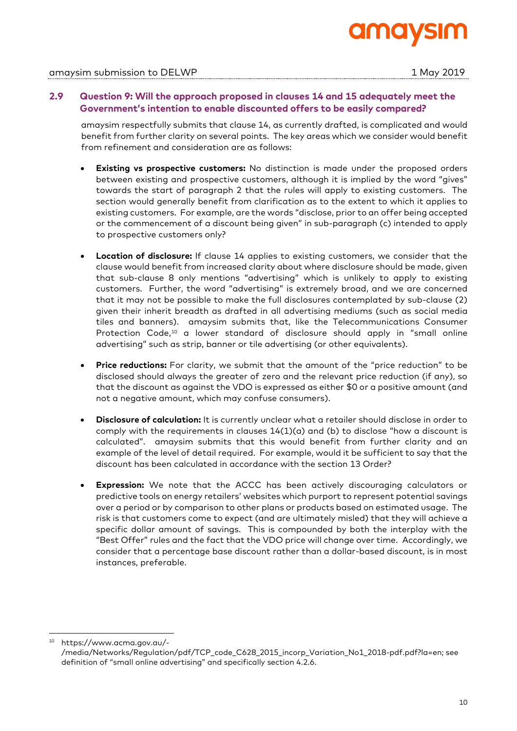

# **2.9 Question 9: Will the approach proposed in clauses 14 and 15 adequately meet the Government's intention to enable discounted offers to be easily compared?**

amaysim respectfully submits that clause 14, as currently drafted, is complicated and would benefit from further clarity on several points. The key areas which we consider would benefit from refinement and consideration are as follows:

- **Existing vs prospective customers:** No distinction is made under the proposed orders between existing and prospective customers, although it is implied by the word "gives" towards the start of paragraph 2 that the rules will apply to existing customers. The section would generally benefit from clarification as to the extent to which it applies to existing customers. For example, are the words "disclose, prior to an offer being accepted or the commencement of a discount being given" in sub-paragraph (c) intended to apply to prospective customers only?
- **Location of disclosure:** If clause 14 applies to existing customers, we consider that the clause would benefit from increased clarity about where disclosure should be made, given that sub-clause 8 only mentions "advertising" which is unlikely to apply to existing customers. Further, the word "advertising" is extremely broad, and we are concerned that it may not be possible to make the full disclosures contemplated by sub-clause (2) given their inherit breadth as drafted in all advertising mediums (such as social media tiles and banners). amaysim submits that, like the Telecommunications Consumer Protection Code,10 a lower standard of disclosure should apply in "small online advertising" such as strip, banner or tile advertising (or other equivalents).
- **Price reductions:** For clarity, we submit that the amount of the "price reduction" to be disclosed should always the greater of zero and the relevant price reduction (if any), so that the discount as against the VDO is expressed as either \$0 or a positive amount (and not a negative amount, which may confuse consumers).
- **Disclosure of calculation:** It is currently unclear what a retailer should disclose in order to comply with the requirements in clauses 14(1)(a) and (b) to disclose "how a discount is calculated". amaysim submits that this would benefit from further clarity and an example of the level of detail required. For example, would it be sufficient to say that the discount has been calculated in accordance with the section 13 Order?
- **Expression:** We note that the ACCC has been actively discouraging calculators or predictive tools on energy retailers' websites which purport to represent potential savings over a period or by comparison to other plans or products based on estimated usage. The risk is that customers come to expect (and are ultimately misled) that they will achieve a specific dollar amount of savings. This is compounded by both the interplay with the "Best Offer" rules and the fact that the VDO price will change over time. Accordingly, we consider that a percentage base discount rather than a dollar-based discount, is in most instances, preferable.

https://www.acma.gov.au/-

<sup>/</sup>media/Networks/Regulation/pdf/TCP\_code\_C628\_2015\_incorp\_Variation\_No1\_2018-pdf.pdf?la=en; see definition of "small online advertising" and specifically section 4.2.6.